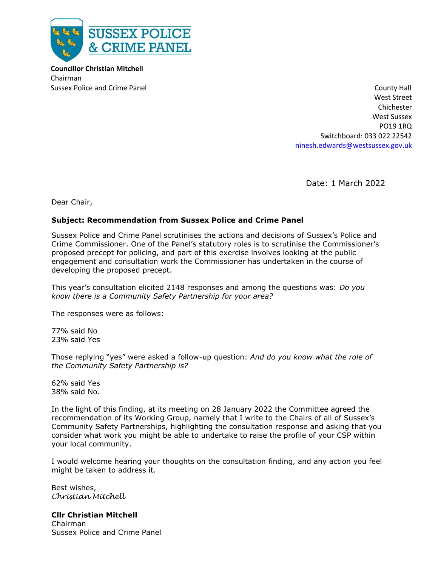

 **Councillor Christian Mitchell** Chairman

Sussex Police and Crime Panel County Hall County Hall County Hall County Hall County Hall West Street Chichester West Sussex PO19 1RQ Switchboard: 033 022 22542 [ninesh.edwards@westsussex.gov.uk](mailto:ninesh.edwards@westsussex.gov.uk)

Date: 1 March 2022

Dear Chair,

## **Subject: Recommendation from Sussex Police and Crime Panel**

Sussex Police and Crime Panel scrutinises the actions and decisions of Sussex's Police and Crime Commissioner. One of the Panel's statutory roles is to scrutinise the Commissioner's proposed precept for policing, and part of this exercise involves looking at the public engagement and consultation work the Commissioner has undertaken in the course of developing the proposed precept.

This year's consultation elicited 2148 responses and among the questions was: *Do you know there is a Community Safety Partnership for your area?*

The responses were as follows:

77% said No 23% said Yes

Those replying "yes" were asked a follow-up question: *And do you know what the role of the Community Safety Partnership is?*

62% said Yes 38% said No.

In the light of this finding, at its meeting on 28 January 2022 the Committee agreed the recommendation of its Working Group, namely that I write to the Chairs of all of Sussex's Community Safety Partnerships, highlighting the consultation response and asking that you consider what work you might be able to undertake to raise the profile of your CSP within your local community.

I would welcome hearing your thoughts on the consultation finding, and any action you feel might be taken to address it.

Best wishes, *Christian Mitchell*

## **Cllr Christian Mitchell**

Chairman Sussex Police and Crime Panel